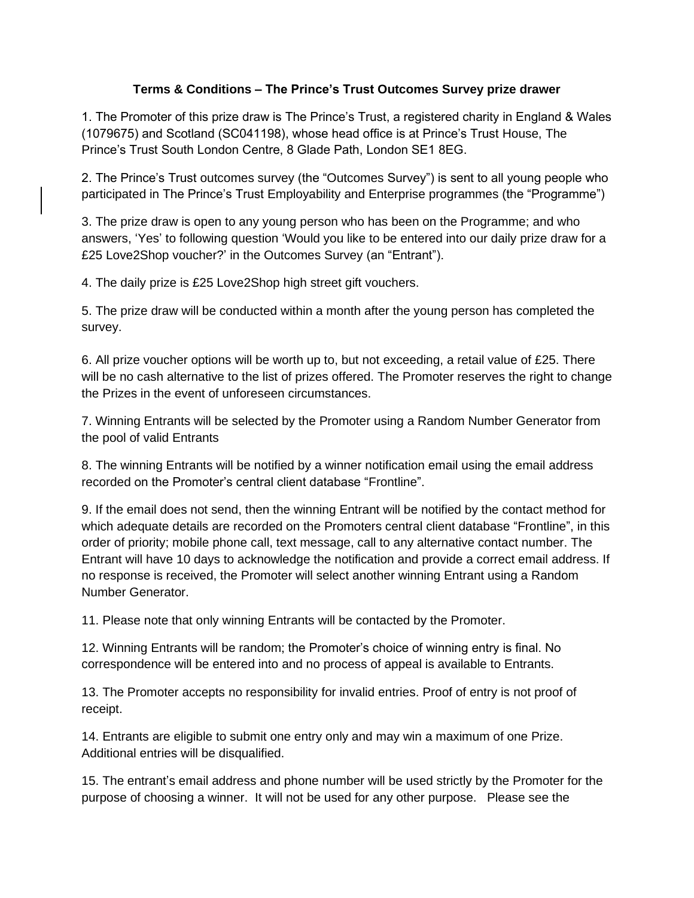## **Terms & Conditions – The Prince's Trust Outcomes Survey prize drawer**

1. The Promoter of this prize draw is The Prince's Trust, a registered charity in England & Wales (1079675) and Scotland (SC041198), whose head office is at Prince's Trust House, The Prince's Trust South London Centre, 8 Glade Path, London SE1 8EG.

2. The Prince's Trust outcomes survey (the "Outcomes Survey") is sent to all young people who participated in The Prince's Trust Employability and Enterprise programmes (the "Programme")

3. The prize draw is open to any young person who has been on the Programme; and who answers, 'Yes' to following question 'Would you like to be entered into our daily prize draw for a £25 Love2Shop voucher?' in the Outcomes Survey (an "Entrant").

4. The daily prize is £25 Love2Shop high street gift vouchers.

5. The prize draw will be conducted within a month after the young person has completed the survey.

6. All prize voucher options will be worth up to, but not exceeding, a retail value of £25. There will be no cash alternative to the list of prizes offered. The Promoter reserves the right to change the Prizes in the event of unforeseen circumstances.

7. Winning Entrants will be selected by the Promoter using a Random Number Generator from the pool of valid Entrants

8. The winning Entrants will be notified by a winner notification email using the email address recorded on the Promoter's central client database "Frontline".

9. If the email does not send, then the winning Entrant will be notified by the contact method for which adequate details are recorded on the Promoters central client database "Frontline", in this order of priority; mobile phone call, text message, call to any alternative contact number. The Entrant will have 10 days to acknowledge the notification and provide a correct email address. If no response is received, the Promoter will select another winning Entrant using a Random Number Generator.

11. Please note that only winning Entrants will be contacted by the Promoter.

12. Winning Entrants will be random; the Promoter's choice of winning entry is final. No correspondence will be entered into and no process of appeal is available to Entrants.

13. The Promoter accepts no responsibility for invalid entries. Proof of entry is not proof of receipt.

14. Entrants are eligible to submit one entry only and may win a maximum of one Prize. Additional entries will be disqualified.

15. The entrant's email address and phone number will be used strictly by the Promoter for the purpose of choosing a winner. It will not be used for any other purpose. Please see the